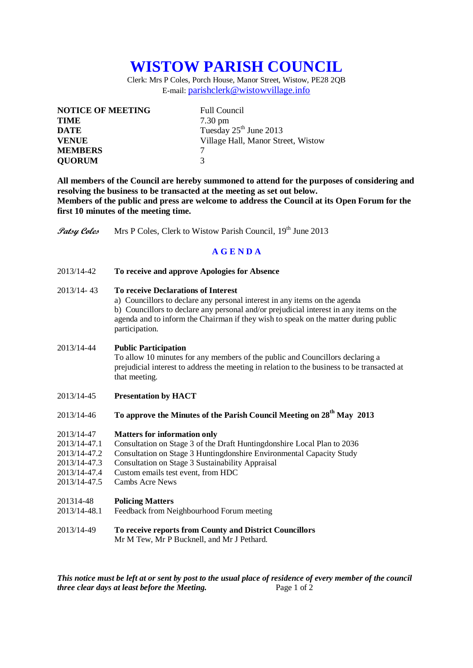# **WISTOW PARISH COUNCIL**

Clerk: Mrs P Coles, Porch House, Manor Street, Wistow, PE28 2QB E-mail: [parishclerk@wistowvillage.info](mailto:parishclerk@wistowvillage.info)

| <b>NOTICE OF MEETING</b> | <b>Full Council</b>                |
|--------------------------|------------------------------------|
| <b>TIME</b>              | $7.30 \text{ pm}$                  |
| <b>DATE</b>              | Tuesday 25 <sup>th</sup> June 2013 |
| <b>VENUE</b>             | Village Hall, Manor Street, Wistow |
| <b>MEMBERS</b>           | 7                                  |
| <b>QUORUM</b>            | $\mathbf 3$                        |

**All members of the Council are hereby summoned to attend for the purposes of considering and resolving the business to be transacted at the meeting as set out below. Members of the public and press are welcome to address the Council at its Open Forum for the first 10 minutes of the meeting time.**

**Patsy Coles** Mrs P Coles, Clerk to Wistow Parish Council, 19<sup>th</sup> June 2013

# **A G E N D A**

2013/14-42 **To receive and approve Apologies for Absence**

## 2013/14- 43 **To receive Declarations of Interest**

a) Councillors to declare any personal interest in any items on the agenda b) Councillors to declare any personal and/or prejudicial interest in any items on the agenda and to inform the Chairman if they wish to speak on the matter during public participation.

#### 2013/14-44 **Public Participation**

To allow 10 minutes for any members of the public and Councillors declaring a prejudicial interest to address the meeting in relation to the business to be transacted at that meeting.

- 2013/14-45 **Presentation by HACT**
- 2013/14-46 **To approve the Minutes of the Parish Council Meeting on 28th May 2013**

#### 2013/14-47 **Matters for information only**

- 2013/14-47.1 Consultation on Stage 3 of the Draft Huntingdonshire Local Plan to 2036
- 2013/14-47.2 Consultation on Stage 3 Huntingdonshire Environmental Capacity Study
- 2013/14-47.3 Consultation on Stage 3 Sustainability Appraisal
- 2013/14-47.4 Custom emails test event, from HDC
- 2013/14-47.5 Cambs Acre News

#### 201314-48 **Policing Matters**

- 2013/14-48.1 Feedback from Neighbourhood Forum meeting
- 2013/14-49 **To receive reports from County and District Councillors** Mr M Tew, Mr P Bucknell, and Mr J Pethard.

*This notice must be left at or sent by post to the usual place of residence of every member of the council three clear days at least before the Meeting.* Page 1 of 2